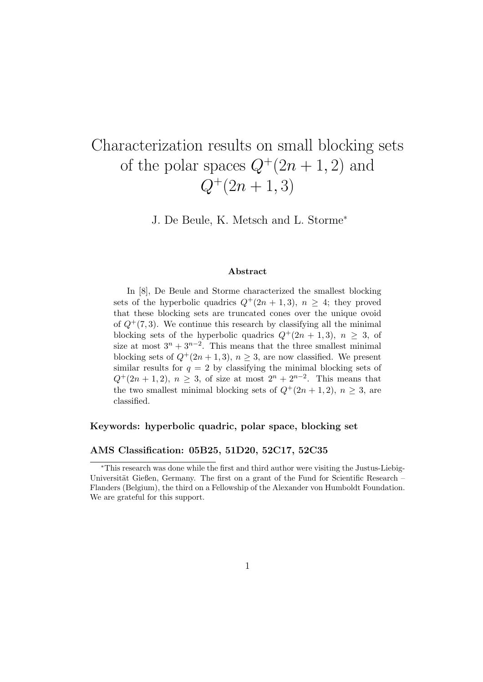# Characterization results on small blocking sets of the polar spaces  $Q^+(2n+1,2)$  and  $Q^+(2n+1,3)$

J. De Beule, K. Metsch and L. Storme<sup>∗</sup>

#### Abstract

In [8], De Beule and Storme characterized the smallest blocking sets of the hyperbolic quadrics  $Q^+(2n+1,3)$ ,  $n > 4$ ; they proved that these blocking sets are truncated cones over the unique ovoid of  $Q^+(7,3)$ . We continue this research by classifying all the minimal blocking sets of the hyperbolic quadrics  $Q^+(2n+1,3)$ ,  $n \geq 3$ , of size at most  $3^n + 3^{n-2}$ . This means that the three smallest minimal blocking sets of  $Q^+(2n+1,3)$ ,  $n \geq 3$ , are now classified. We present similar results for  $q = 2$  by classifying the minimal blocking sets of  $Q^+(2n+1,2), n \geq 3$ , of size at most  $2^n + 2^{n-2}$ . This means that the two smallest minimal blocking sets of  $Q^+(2n+1,2)$ ,  $n \geq 3$ , are classified.

#### Keywords: hyperbolic quadric, polar space, blocking set

#### AMS Classification: 05B25, 51D20, 52C17, 52C35

<sup>∗</sup>This research was done while the first and third author were visiting the Justus-Liebig-Universität Gießen, Germany. The first on a grant of the Fund for Scientific Research – Flanders (Belgium), the third on a Fellowship of the Alexander von Humboldt Foundation. We are grateful for this support.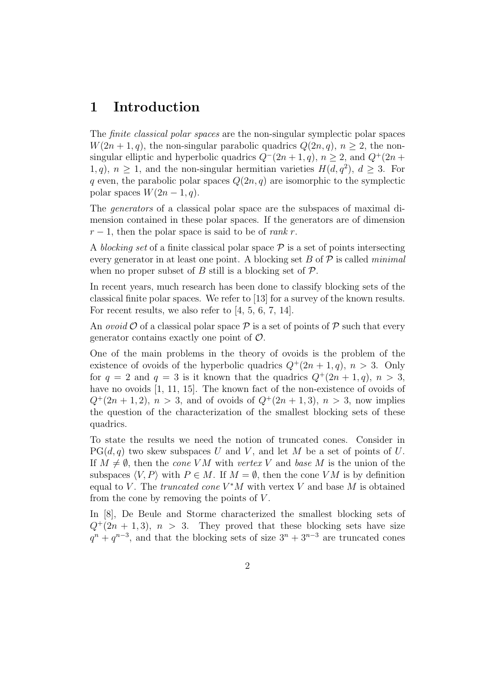### 1 Introduction

The *finite classical polar spaces* are the non-singular symplectic polar spaces  $W(2n+1, q)$ , the non-singular parabolic quadrics  $Q(2n, q)$ ,  $n > 2$ , the nonsingular elliptic and hyperbolic quadrics  $Q^-(2n+1, q)$ ,  $n \geq 2$ , and  $Q^+(2n+1, q)$ 1, q),  $n \geq 1$ , and the non-singular hermitian varieties  $H(d, q^2)$ ,  $d \geq 3$ . For q even, the parabolic polar spaces  $Q(2n, q)$  are isomorphic to the symplectic polar spaces  $W(2n-1, q)$ .

The generators of a classical polar space are the subspaces of maximal dimension contained in these polar spaces. If the generators are of dimension  $r-1$ , then the polar space is said to be of rank r.

A blocking set of a finite classical polar space  $P$  is a set of points intersecting every generator in at least one point. A blocking set  $B$  of  $\mathcal P$  is called *minimal* when no proper subset of B still is a blocking set of  $\mathcal{P}$ .

In recent years, much research has been done to classify blocking sets of the classical finite polar spaces. We refer to [13] for a survey of the known results. For recent results, we also refer to [4, 5, 6, 7, 14].

An *ovoid*  $\mathcal O$  of a classical polar space  $\mathcal P$  is a set of points of  $\mathcal P$  such that every generator contains exactly one point of  $\mathcal{O}$ .

One of the main problems in the theory of ovoids is the problem of the existence of ovoids of the hyperbolic quadrics  $Q^+(2n+1, q)$ ,  $n > 3$ . Only for  $q = 2$  and  $q = 3$  is it known that the quadrics  $Q^+(2n+1, q)$ ,  $n > 3$ , have no ovoids [1, 11, 15]. The known fact of the non-existence of ovoids of  $Q^+(2n+1, 2)$ ,  $n > 3$ , and of ovoids of  $Q^+(2n+1, 3)$ ,  $n > 3$ , now implies the question of the characterization of the smallest blocking sets of these quadrics.

To state the results we need the notion of truncated cones. Consider in  $PG(d, q)$  two skew subspaces U and V, and let M be a set of points of U. If  $M \neq \emptyset$ , then the *cone VM* with vertex V and base M is the union of the subspaces  $\langle V, P \rangle$  with  $P \in M$ . If  $M = \emptyset$ , then the cone VM is by definition equal to V. The *truncated cone*  $V^*M$  with vertex V and base M is obtained from the cone by removing the points of  $V$ .

In [8], De Beule and Storme characterized the smallest blocking sets of  $Q^+(2n+1,3)$ ,  $n > 3$ . They proved that these blocking sets have size  $q^{n} + q^{n-3}$ , and that the blocking sets of size  $3^{n} + 3^{n-3}$  are truncated cones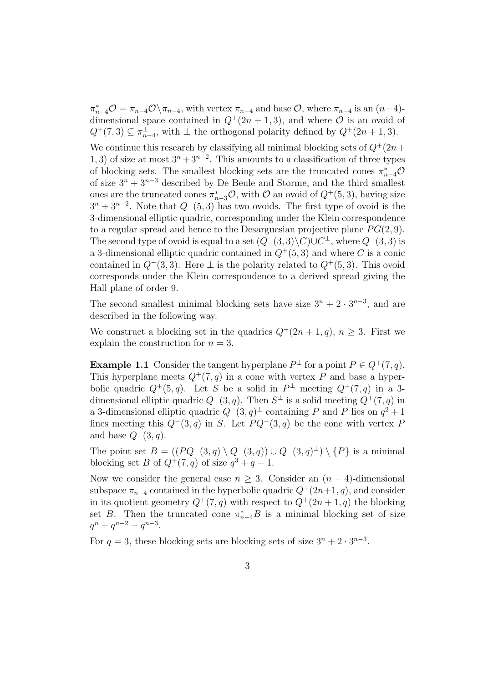$\pi_{n-4}^* \mathcal{O} = \pi_{n-4} \mathcal{O} \setminus \pi_{n-4}$ , with vertex  $\pi_{n-4}$  and base  $\mathcal{O}$ , where  $\pi_{n-4}$  is an  $(n-4)$ dimensional space contained in  $Q^+(2n+1,3)$ , and where  $\mathcal O$  is an ovoid of  $Q^+(7,3) \subseteq \pi_{n-4}^{\perp}$ , with  $\perp$  the orthogonal polarity defined by  $Q^+(2n+1,3)$ .

We continue this research by classifying all minimal blocking sets of  $Q^+(2n+1)$ 1, 3) of size at most  $3^n + 3^{n-2}$ . This amounts to a classification of three types of blocking sets. The smallest blocking sets are the truncated cones  $\pi_{n-4}^* \mathcal{O}$ of size  $3^n + 3^{n-3}$  described by De Beule and Storme, and the third smallest ones are the truncated cones  $\pi_{n-3}^*$ , with  $\mathcal O$  an ovoid of  $Q^+(5,3)$ , having size  $3^{n} + 3^{n-2}$ . Note that  $Q^{+}(5,3)$  has two ovoids. The first type of ovoid is the 3-dimensional elliptic quadric, corresponding under the Klein correspondence to a regular spread and hence to the Desarguesian projective plane  $PG(2, 9)$ . The second type of ovoid is equal to a set  $(Q^-(3,3)\backslash C)\cup C^{\perp}$ , where  $Q^-(3,3)$  is a 3-dimensional elliptic quadric contained in  $Q^+(5, 3)$  and where C is a conic contained in  $Q^-(3,3)$ . Here  $\perp$  is the polarity related to  $Q^+(5,3)$ . This ovoid corresponds under the Klein correspondence to a derived spread giving the Hall plane of order 9.

The second smallest minimal blocking sets have size  $3^n + 2 \cdot 3^{n-3}$ , and are described in the following way.

We construct a blocking set in the quadrics  $Q^+(2n+1, q)$ ,  $n \geq 3$ . First we explain the construction for  $n = 3$ .

**Example 1.1** Consider the tangent hyperplane  $P^{\perp}$  for a point  $P \in Q^+(7, q)$ . This hyperplane meets  $Q^+(7, q)$  in a cone with vertex P and base a hyperbolic quadric  $Q^+(5,q)$ . Let S be a solid in  $P^{\perp}$  meeting  $Q^+(7,q)$  in a 3dimensional elliptic quadric  $Q^-(3, q)$ . Then  $S^{\perp}$  is a solid meeting  $Q^+(7, q)$  in a 3-dimensional elliptic quadric  $Q^-(3, q)^\perp$  containing P and P lies on  $q^2 + 1$ lines meeting this  $Q^-(3, q)$  in S. Let  $P Q^-(3, q)$  be the cone with vertex P and base  $Q^-(3, q)$ .

The point set  $B = ((PQ^{-}(3, q) \setminus Q^{-}(3, q)) \cup Q^{-}(3, q)^{\perp}) \setminus \{P\}$  is a minimal blocking set B of  $Q^+(7,q)$  of size  $q^3+q-1$ .

Now we consider the general case  $n \geq 3$ . Consider an  $(n-4)$ -dimensional subspace  $\pi_{n-4}$  contained in the hyperbolic quadric  $Q^+(2n+1, q)$ , and consider in its quotient geometry  $Q^+(7, q)$  with respect to  $Q^+(2n+1, q)$  the blocking set B. Then the truncated cone  $\pi_{n-4}^*B$  is a minimal blocking set of size  $q^n + q^{n-2} - q^{n-3}.$ 

For  $q = 3$ , these blocking sets are blocking sets of size  $3^n + 2 \cdot 3^{n-3}$ .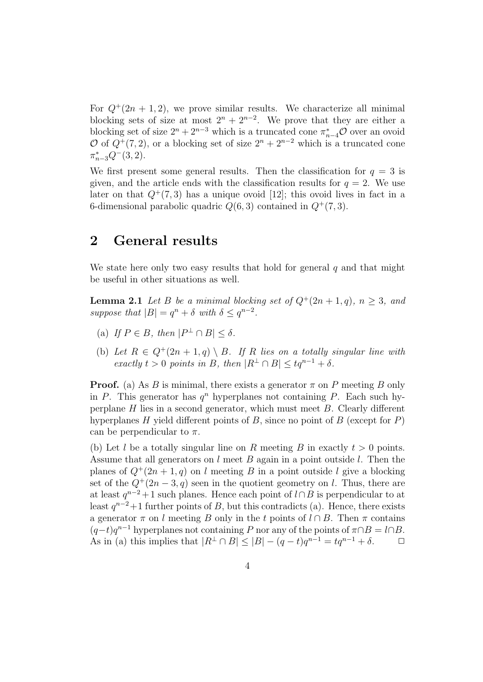For  $Q^+(2n+1,2)$ , we prove similar results. We characterize all minimal blocking sets of size at most  $2^{n} + 2^{n-2}$ . We prove that they are either a blocking set of size  $2^n + 2^{n-3}$  which is a truncated cone  $\pi_{n-4}^*$ O over an ovoid O of  $Q^+(7,2)$ , or a blocking set of size  $2^n + 2^{n-2}$  which is a truncated cone  $\pi_{n-3}^*Q^-(3,2).$ 

We first present some general results. Then the classification for  $q = 3$  is given, and the article ends with the classification results for  $q = 2$ . We use later on that  $Q^+(7,3)$  has a unique ovoid [12]; this ovoid lives in fact in a 6-dimensional parabolic quadric  $Q(6, 3)$  contained in  $Q^+(7, 3)$ .

### 2 General results

We state here only two easy results that hold for general  $q$  and that might be useful in other situations as well.

**Lemma 2.1** Let B be a minimal blocking set of  $Q^+(2n+1, q)$ ,  $n \geq 3$ , and suppose that  $|B| = q^n + \delta$  with  $\delta \leq q^{n-2}$ .

- (a) If  $P \in B$ , then  $|P^{\perp} \cap B| \leq \delta$ .
- (b) Let  $R \in Q^+(2n+1,q) \setminus B$ . If R lies on a totally singular line with exactly  $t > 0$  points in B, then  $|R^{\perp} \cap B| \leq tq^{n-1} + \delta$ .

**Proof.** (a) As B is minimal, there exists a generator  $\pi$  on P meeting B only in P. This generator has  $q^n$  hyperplanes not containing P. Each such hyperplane  $H$  lies in a second generator, which must meet  $B$ . Clearly different hyperplanes H yield different points of B, since no point of B (except for  $P$ ) can be perpendicular to  $\pi$ .

(b) Let l be a totally singular line on R meeting B in exactly  $t > 0$  points. Assume that all generators on  $l$  meet  $B$  again in a point outside  $l$ . Then the planes of  $Q^+(2n+1, q)$  on l meeting B in a point outside l give a blocking set of the  $Q^+(2n-3, q)$  seen in the quotient geometry on l. Thus, there are at least  $q^{n-2}+1$  such planes. Hence each point of  $l \cap B$  is perpendicular to at least  $q^{n-2}+1$  further points of B, but this contradicts (a). Hence, there exists a generator  $\pi$  on l meeting B only in the t points of  $l \cap B$ . Then  $\pi$  contains  $(q-t)q^{n-1}$  hyperplanes not containing P nor any of the points of  $\pi \cap B = l \cap B$ . As in (a) this implies that  $|R^{\perp} \cap B| \leq |B| - (q - t)q^{n-1} = tq^{n-1} + \delta.$   $\Box$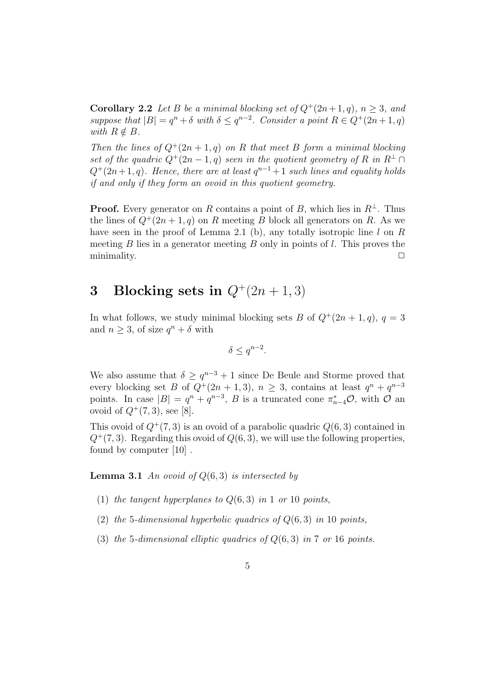**Corollary 2.2** Let B be a minimal blocking set of  $Q^+(2n+1, q)$ ,  $n \geq 3$ , and suppose that  $|B| = q^n + \delta$  with  $\delta \leq q^{n-2}$ . Consider a point  $R \in Q^+(2n+1, q)$ with  $R \notin B$ .

Then the lines of  $Q^+(2n+1, q)$  on R that meet B form a minimal blocking set of the quadric  $Q^+(2n-1, q)$  seen in the quotient geometry of R in  $R^{\perp} \cap$  $Q^+(2n+1, q)$ . Hence, there are at least  $q^{n-1}+1$  such lines and equality holds if and only if they form an ovoid in this quotient geometry.

**Proof.** Every generator on R contains a point of B, which lies in  $R^{\perp}$ . Thus the lines of  $Q^+(2n+1, q)$  on R meeting B block all generators on R. As we have seen in the proof of Lemma 2.1 (b), any totally isotropic line  $l$  on  $R$ meeting  $B$  lies in a generator meeting  $B$  only in points of  $l$ . This proves the minimality.  $\Box$ 

## 3 Blocking sets in  $Q^+(2n+1,3)$

In what follows, we study minimal blocking sets B of  $Q^+(2n+1, q)$ ,  $q = 3$ and  $n \geq 3$ , of size  $q^n + \delta$  with

$$
\delta \le q^{n-2}.
$$

We also assume that  $\delta \geq q^{n-3}+1$  since De Beule and Storme proved that every blocking set B of  $Q^+(2n+1,3)$ ,  $n \geq 3$ , contains at least  $q^n + q^{n-3}$ points. In case  $|B| = q^n + q^{n-3}$ , B is a truncated cone  $\pi_{n-4}^* \mathcal{O}$ , with  $\mathcal O$  and ovoid of  $Q^{+}(7,3)$ , see [8].

This ovoid of  $Q^+(7,3)$  is an ovoid of a parabolic quadric  $Q(6,3)$  contained in  $Q^+(7,3)$ . Regarding this ovoid of  $Q(6,3)$ , we will use the following properties, found by computer [10] .

**Lemma 3.1** An ovoid of  $Q(6, 3)$  is intersected by

- (1) the tangent hyperplanes to  $Q(6,3)$  in 1 or 10 points,
- (2) the 5-dimensional hyperbolic quadrics of  $Q(6, 3)$  in 10 points,
- (3) the 5-dimensional elliptic quadrics of  $Q(6, 3)$  in 7 or 16 points.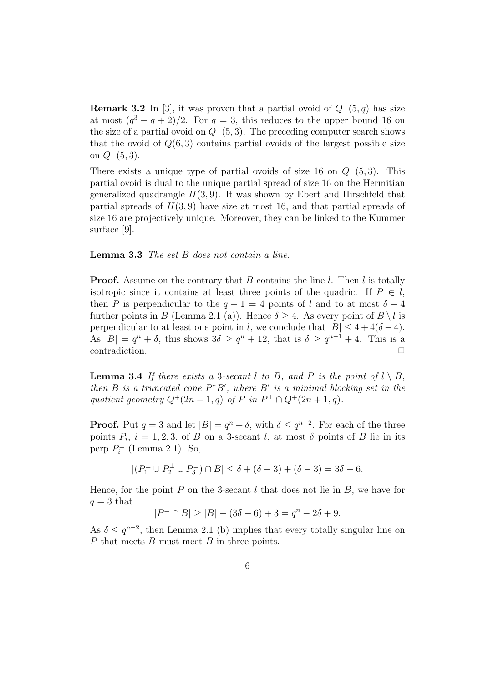**Remark 3.2** In [3], it was proven that a partial ovoid of  $Q^-(5, q)$  has size at most  $(q^3 + q + 2)/2$ . For  $q = 3$ , this reduces to the upper bound 16 on the size of a partial ovoid on  $Q^-(5, 3)$ . The preceding computer search shows that the ovoid of  $Q(6,3)$  contains partial ovoids of the largest possible size on  $Q^-(5,3)$ .

There exists a unique type of partial ovoids of size 16 on  $Q^-(5,3)$ . This partial ovoid is dual to the unique partial spread of size 16 on the Hermitian generalized quadrangle  $H(3, 9)$ . It was shown by Ebert and Hirschfeld that partial spreads of  $H(3, 9)$  have size at most 16, and that partial spreads of size 16 are projectively unique. Moreover, they can be linked to the Kummer surface [9].

Lemma 3.3 The set B does not contain a line.

**Proof.** Assume on the contrary that B contains the line l. Then l is totally isotropic since it contains at least three points of the quadric. If  $P \in \mathcal{I}$ , then P is perpendicular to the  $q + 1 = 4$  points of l and to at most  $\delta - 4$ further points in B (Lemma 2.1 (a)). Hence  $\delta \geq 4$ . As every point of  $B \setminus l$  is perpendicular to at least one point in l, we conclude that  $|B| \leq 4 + 4(\delta - 4)$ . As  $|B| = q^n + \delta$ , this shows  $3\delta \ge q^n + 12$ , that is  $\delta \ge q^{n-1} + 4$ . This is a contradiction.

**Lemma 3.4** If there exists a 3-secant l to B, and P is the point of  $l \setminus B$ , then B is a truncated cone  $P^*B'$ , where B' is a minimal blocking set in the quotient geometry  $Q^+(2n-1,q)$  of P in  $P^{\perp} \cap Q^+(2n+1,q)$ .

**Proof.** Put  $q = 3$  and let  $|B| = q^n + \delta$ , with  $\delta \leq q^{n-2}$ . For each of the three points  $P_i$ ,  $i = 1, 2, 3$ , of B on a 3-secant l, at most  $\delta$  points of B lie in its perp  $P_i^{\perp}$  (Lemma 2.1). So,

 $|(P_1^{\perp} \cup P_2^{\perp} \cup P_3^{\perp}) \cap B| \le \delta + (\delta - 3) + (\delta - 3) = 3\delta - 6.$ 

Hence, for the point  $P$  on the 3-secant  $l$  that does not lie in  $B$ , we have for  $q = 3$  that

$$
|P^{\perp} \cap B| \ge |B| - (3\delta - 6) + 3 = q^{n} - 2\delta + 9.
$$

As  $\delta \leq q^{n-2}$ , then Lemma 2.1 (b) implies that every totally singular line on  $P$  that meets  $B$  must meet  $B$  in three points.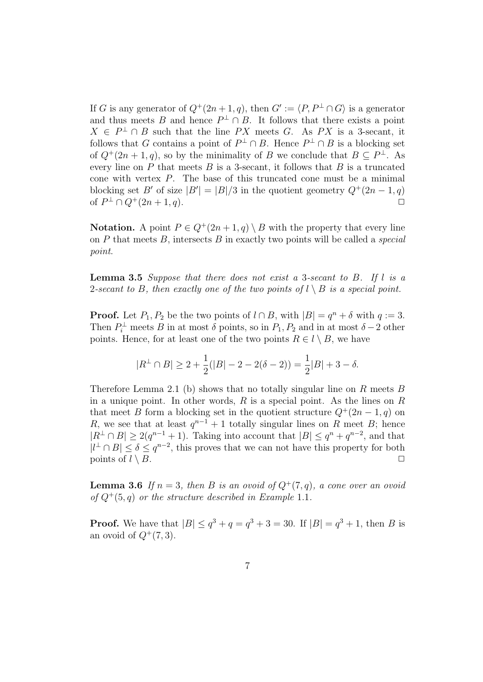If G is any generator of  $Q^+(2n+1, q)$ , then  $G' := \langle P, P^{\perp} \cap G \rangle$  is a generator and thus meets B and hence  $P^{\perp} \cap B$ . It follows that there exists a point  $X \in P^{\perp} \cap B$  such that the line PX meets G. As PX is a 3-secant, it follows that G contains a point of  $P^{\perp} \cap B$ . Hence  $P^{\perp} \cap B$  is a blocking set of  $Q^+(2n+1, q)$ , so by the minimality of B we conclude that  $B \subseteq P^{\perp}$ . As every line on  $P$  that meets  $B$  is a 3-secant, it follows that  $B$  is a truncated cone with vertex P. The base of this truncated cone must be a minimal blocking set B' of size  $|B'| = |B|/3$  in the quotient geometry  $Q^+(2n-1, q)$ of  $P^{\perp} \cap Q^+(2n+1, q)$ . □

Notation. A point  $P \in Q^+(2n+1,q) \setminus B$  with the property that every line on  $P$  that meets  $B$ , intersects  $B$  in exactly two points will be called a *special* point.

**Lemma 3.5** Suppose that there does not exist a 3-secant to  $B$ . If  $l$  is a 2-secant to B, then exactly one of the two points of  $l \setminus B$  is a special point.

**Proof.** Let  $P_1, P_2$  be the two points of  $l \cap B$ , with  $|B| = q^n + \delta$  with  $q := 3$ . Then  $P_i^{\perp}$  meets B in at most  $\delta$  points, so in  $P_1, P_2$  and in at most  $\delta - 2$  other points. Hence, for at least one of the two points  $R \in \mathcal{U} \setminus B$ , we have

$$
|R^{\perp} \cap B| \ge 2 + \frac{1}{2}(|B| - 2 - 2(\delta - 2)) = \frac{1}{2}|B| + 3 - \delta.
$$

Therefore Lemma 2.1 (b) shows that no totally singular line on R meets  $B$ in a unique point. In other words,  $R$  is a special point. As the lines on  $R$ that meet B form a blocking set in the quotient structure  $Q^+(2n-1, q)$  on R, we see that at least  $q^{n-1} + 1$  totally singular lines on R meet B; hence  $|R^{\perp} \cap B| \geq 2(q^{n-1}+1)$ . Taking into account that  $|B| \leq q^n + q^{n-2}$ , and that  $|l^{\perp} \cap B| \leq \delta \leq q^{n-2}$ , this proves that we can not have this property for both points of  $l \setminus B$ .

**Lemma 3.6** If  $n = 3$ , then B is an ovoid of  $Q^+(7, q)$ , a cone over an ovoid of  $Q^+(5, q)$  or the structure described in Example 1.1.

**Proof.** We have that  $|B| \le q^3 + q = q^3 + 3 = 30$ . If  $|B| = q^3 + 1$ , then B is an ovoid of  $Q^+(7,3)$ .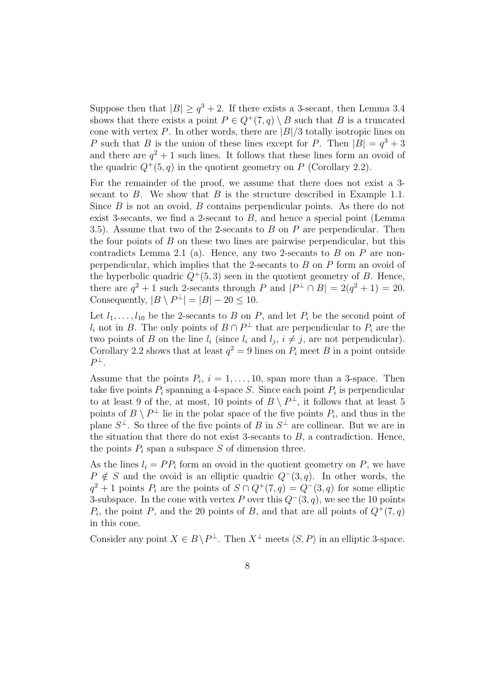Suppose then that  $|B| \geq q^3 + 2$ . If there exists a 3-secant, then Lemma 3.4 shows that there exists a point  $P \in Q^+(7,q) \setminus B$  such that B is a truncated cone with vertex P. In other words, there are  $|B|/3$  totally isotropic lines on P such that B is the union of these lines except for P. Then  $|B| = q^3 + 3$ and there are  $q^2 + 1$  such lines. It follows that these lines form an ovoid of the quadric  $Q^+(5, q)$  in the quotient geometry on P (Corollary 2.2).

For the remainder of the proof, we assume that there does not exist a 3 secant to B. We show that B is the structure described in Example 1.1. Since  $B$  is not an ovoid,  $B$  contains perpendicular points. As there do not exist 3-secants, we find a 2-secant to  $B$ , and hence a special point (Lemma 3.5). Assume that two of the 2-secants to B on P are perpendicular. Then the four points of  $B$  on these two lines are pairwise perpendicular, but this contradicts Lemma 2.1 (a). Hence, any two 2-secants to  $B$  on  $P$  are nonperpendicular, which implies that the 2-secants to B on P form an ovoid of the hyperbolic quadric  $Q^+(5,3)$  seen in the quotient geometry of B. Hence, there are  $q^2 + 1$  such 2-secants through P and  $|P^{\perp} \cap B| = 2(q^2 + 1) = 20$ . Consequently,  $|B \setminus P^{\perp}| = |B| - 20 \leq 10$ .

Let  $l_1, \ldots, l_{10}$  be the 2-secants to B on P, and let  $P_i$  be the second point of  $l_i$  not in B. The only points of  $B \cap P^{\perp}$  that are perpendicular to  $P_i$  are the two points of B on the line  $l_i$  (since  $l_i$  and  $l_j$ ,  $i \neq j$ , are not perpendicular). Corollary 2.2 shows that at least  $q^2 = 9$  lines on  $P_i$  meet B in a point outside  $P^{\perp}$ .

Assume that the points  $P_i$ ,  $i = 1, ..., 10$ , span more than a 3-space. Then take five points  $P_i$  spanning a 4-space S. Since each point  $P_i$  is perpendicular to at least 9 of the, at most, 10 points of  $B \setminus P^{\perp}$ , it follows that at least 5 points of  $B \setminus P^{\perp}$  lie in the polar space of the five points  $P_i$ , and thus in the plane  $S^{\perp}$ . So three of the five points of B in  $S^{\perp}$  are collinear. But we are in the situation that there do not exist 3-secants to  $B$ , a contradiction. Hence, the points  $P_i$  span a subspace S of dimension three.

As the lines  $l_i = PP_i$  form an ovoid in the quotient geometry on P, we have  $P \notin S$  and the ovoid is an elliptic quadric  $Q^-(3, q)$ . In other words, the  $q^2 + 1$  points  $P_i$  are the points of  $S \cap Q^+(7,q) = Q^-(3,q)$  for some elliptic 3-subspace. In the cone with vertex P over this  $Q^-(3, q)$ , we see the 10 points  $P_i$ , the point P, and the 20 points of B, and that are all points of  $Q^+(7, q)$ in this cone.

Consider any point  $X \in B \backslash P^{\perp}$ . Then  $X^{\perp}$  meets  $\langle S, P \rangle$  in an elliptic 3-space.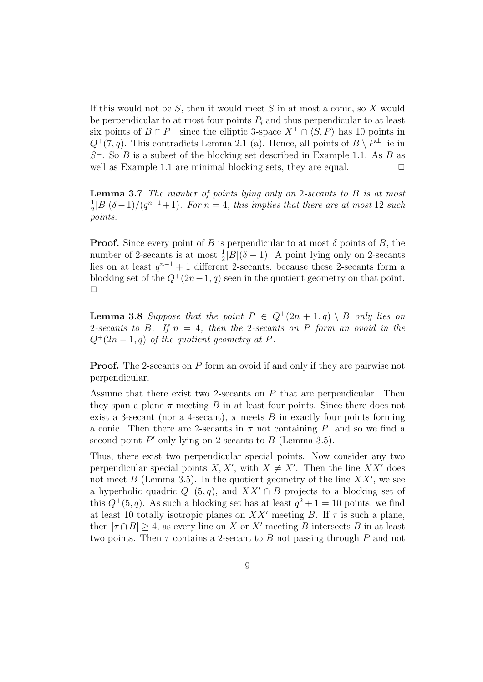If this would not be  $S$ , then it would meet  $S$  in at most a conic, so  $X$  would be perpendicular to at most four points  $P_i$  and thus perpendicular to at least six points of  $B \cap P^{\perp}$  since the elliptic 3-space  $X^{\perp} \cap \langle S, P \rangle$  has 10 points in  $Q^+(7,q)$ . This contradicts Lemma 2.1 (a). Hence, all points of  $B \setminus P^{\perp}$  lie in  $S^{\perp}$ . So B is a subset of the blocking set described in Example 1.1. As B as well as Example 1.1 are minimal blocking sets, they are equal.  $\Box$ 

Lemma 3.7 The number of points lying only on 2-secants to B is at most 1  $\frac{1}{2}|B|(\delta-1)/(q^{n-1}+1)$ . For  $n=4$ , this implies that there are at most 12 such points.

**Proof.** Since every point of B is perpendicular to at most  $\delta$  points of B, the number of 2-secants is at most  $\frac{1}{2}|B|(\delta - 1)$ . A point lying only on 2-secants lies on at least  $q^{n-1} + 1$  different 2-secants, because these 2-secants form a blocking set of the  $Q^+(2n-1, q)$  seen in the quotient geometry on that point.  $\Box$ 

**Lemma 3.8** Suppose that the point  $P \in Q^+(2n+1,q) \setminus B$  only lies on 2-secants to B. If  $n = 4$ , then the 2-secants on P form an ovoid in the  $Q^+(2n-1,q)$  of the quotient geometry at P.

Proof. The 2-secants on P form an ovoid if and only if they are pairwise not perpendicular.

Assume that there exist two 2-secants on  $P$  that are perpendicular. Then they span a plane  $\pi$  meeting B in at least four points. Since there does not exist a 3-secant (nor a 4-secant),  $\pi$  meets B in exactly four points forming a conic. Then there are 2-secants in  $\pi$  not containing P, and so we find a second point  $P'$  only lying on 2-secants to  $B$  (Lemma 3.5).

Thus, there exist two perpendicular special points. Now consider any two perpendicular special points  $X, X'$ , with  $X \neq X'$ . Then the line  $XX'$  does not meet  $B$  (Lemma 3.5). In the quotient geometry of the line  $XX'$ , we see a hyperbolic quadric  $Q^+(5, q)$ , and  $XX' \cap B$  projects to a blocking set of this  $Q^+(5, q)$ . As such a blocking set has at least  $q^2 + 1 = 10$  points, we find at least 10 totally isotropic planes on  $XX'$  meeting B. If  $\tau$  is such a plane, then  $|\tau \cap B| > 4$ , as every line on X or X' meeting B intersects B in at least two points. Then  $\tau$  contains a 2-secant to B not passing through P and not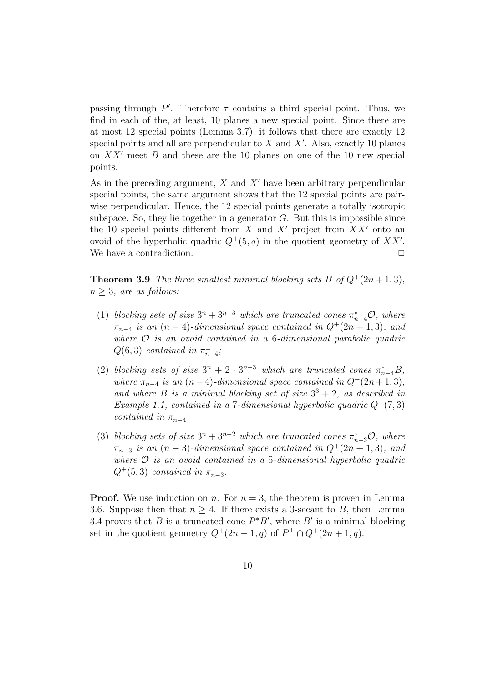passing through  $P'$ . Therefore  $\tau$  contains a third special point. Thus, we find in each of the, at least, 10 planes a new special point. Since there are at most 12 special points (Lemma 3.7), it follows that there are exactly 12 special points and all are perpendicular to  $X$  and  $X'$ . Also, exactly 10 planes on  $XX'$  meet B and these are the 10 planes on one of the 10 new special points.

As in the preceding argument,  $X$  and  $X'$  have been arbitrary perpendicular special points, the same argument shows that the 12 special points are pairwise perpendicular. Hence, the 12 special points generate a totally isotropic subspace. So, they lie together in a generator  $G$ . But this is impossible since the 10 special points different from X and X' project from  $XX'$  onto an ovoid of the hyperbolic quadric  $Q^+(5,q)$  in the quotient geometry of XX'. We have a contradiction.  $\Box$ 

**Theorem 3.9** The three smallest minimal blocking sets B of  $Q^+(2n+1,3)$ ,  $n \geq 3$ , are as follows:

- (1) blocking sets of size  $3^n + 3^{n-3}$  which are truncated cones  $\pi_{n-4}^* \mathcal{O}$ , where  $\pi_{n-4}$  is an  $(n-4)$ -dimensional space contained in  $Q^+(2n+1,3)$ , and where  $\mathcal O$  is an ovoid contained in a 6-dimensional parabolic quadric  $Q(6,3)$  contained in  $\pi_{n-4}^{\perp}$ ;
- (2) blocking sets of size  $3^n + 2 \cdot 3^{n-3}$  which are truncated cones  $\pi_{n-4}^*B$ , where  $\pi_{n-4}$  is an  $(n-4)$ -dimensional space contained in  $Q^+(2n+1,3)$ , and where B is a minimal blocking set of size  $3^3 + 2$ , as described in Example 1.1, contained in a 7-dimensional hyperbolic quadric  $Q^+(7,3)$ contained in  $\pi_{n-4}^{\perp}$ ;
- (3) blocking sets of size  $3^n + 3^{n-2}$  which are truncated cones  $\pi_{n-3}^* \mathcal{O}$ , where  $\pi_{n-3}$  is an  $(n-3)$ -dimensional space contained in  $Q^+(2n+1,3)$ , and where  $\mathcal O$  is an ovoid contained in a 5-dimensional hyperbolic quadric  $Q^+(5,3)$  contained in  $\pi_{n-3}^{\perp}$ .

**Proof.** We use induction on n. For  $n = 3$ , the theorem is proven in Lemma 3.6. Suppose then that  $n \geq 4$ . If there exists a 3-secant to B, then Lemma 3.4 proves that B is a truncated cone  $P^*B'$ , where B' is a minimal blocking set in the quotient geometry  $Q^+(2n-1, q)$  of  $P^{\perp} \cap Q^+(2n+1, q)$ .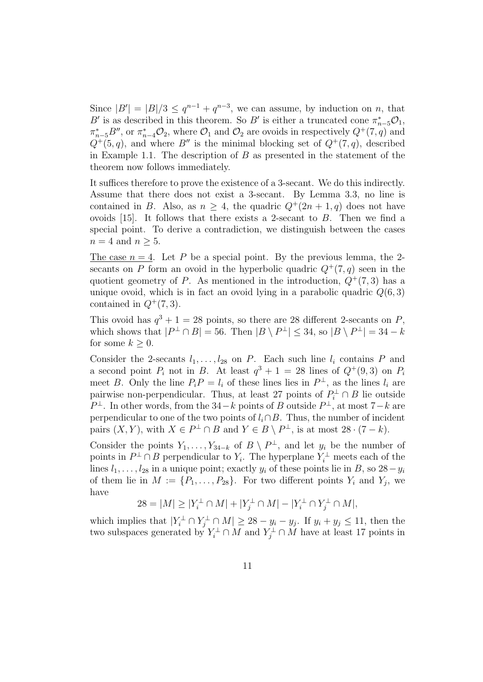Since  $|B'| = |B|/3 \leq q^{n-1} + q^{n-3}$ , we can assume, by induction on *n*, that B' is as described in this theorem. So B' is either a truncated cone  $\pi_{n-5}^* \mathcal{O}_1$ ,  $\pi_{n-5}^* B''$ , or  $\pi_{n-4}^* \mathcal{O}_2$ , where  $\mathcal{O}_1$  and  $\mathcal{O}_2$  are ovoids in respectively  $Q^+(7, q)$  and  $Q^+(5, q)$ , and where B'' is the minimal blocking set of  $Q^+(7, q)$ , described in Example 1.1. The description of  $B$  as presented in the statement of the theorem now follows immediately.

It suffices therefore to prove the existence of a 3-secant. We do this indirectly. Assume that there does not exist a 3-secant. By Lemma 3.3, no line is contained in B. Also, as  $n > 4$ , the quadric  $Q^+(2n+1, q)$  does not have ovoids  $[15]$ . It follows that there exists a 2-secant to  $B$ . Then we find a special point. To derive a contradiction, we distinguish between the cases  $n = 4$  and  $n \geq 5$ .

The case  $n = 4$ . Let P be a special point. By the previous lemma, the 2secants on P form an ovoid in the hyperbolic quadric  $Q^+(7, q)$  seen in the quotient geometry of P. As mentioned in the introduction,  $Q^+(7,3)$  has a unique ovoid, which is in fact an ovoid lying in a parabolic quadric  $Q(6, 3)$ contained in  $Q^+(7,3)$ .

This ovoid has  $q^3 + 1 = 28$  points, so there are 28 different 2-secants on P, which shows that  $|P^{\perp} \cap B| = 56$ . Then  $|B \setminus P^{\perp}| \leq 34$ , so  $|B \setminus P^{\perp}| = 34 - k$ for some  $k > 0$ .

Consider the 2-secants  $l_1, \ldots, l_{28}$  on P. Each such line  $l_i$  contains P and a second point  $P_i$  not in B. At least  $q^3 + 1 = 28$  lines of  $Q^+(9,3)$  on  $P_i$ meet B. Only the line  $P_i P = l_i$  of these lines lies in  $P^{\perp}$ , as the lines  $l_i$  are pairwise non-perpendicular. Thus, at least 27 points of  $P_i^{\perp} \cap B$  lie outside  $P^{\perp}$ . In other words, from the 34 – k points of B outside  $P^{\perp}$ , at most 7 – k are perpendicular to one of the two points of  $l_i \cap B$ . Thus, the number of incident pairs  $(X, Y)$ , with  $X \in P^{\perp} \cap B$  and  $Y \in B \setminus P^{\perp}$ , is at most  $28 \cdot (7 - k)$ .

Consider the points  $Y_1, \ldots, Y_{34-k}$  of  $B \setminus P^{\perp}$ , and let  $y_i$  be the number of points in  $P^{\perp} \cap B$  perpendicular to  $Y_i$ . The hyperplane  $Y_i^{\perp}$  meets each of the lines  $l_1, \ldots, l_{28}$  in a unique point; exactly  $y_i$  of these points lie in B, so  $28 - y_i$ of them lie in  $M := \{P_1, \ldots, P_{28}\}.$  For two different points  $Y_i$  and  $Y_j$ , we have

$$
28 = |M| \ge |Y_i^{\perp} \cap M| + |Y_j^{\perp} \cap M| - |Y_i^{\perp} \cap Y_j^{\perp} \cap M|,
$$

which implies that  $|Y_i^{\perp} \cap Y_j^{\perp} \cap M| \geq 28 - y_i - y_j$ . If  $y_i + y_j \leq 11$ , then the two subspaces generated by  $Y_i^{\perp} \cap M$  and  $Y_j^{\perp} \cap M$  have at least 17 points in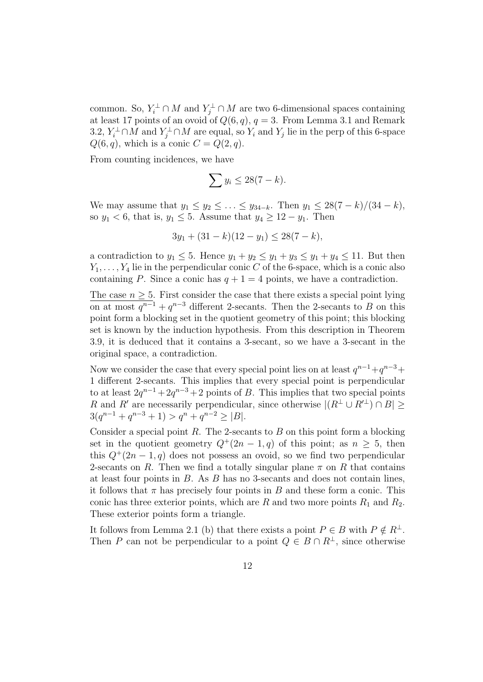common. So,  $Y_i^{\perp} \cap M$  and  $Y_j^{\perp} \cap M$  are two 6-dimensional spaces containing at least 17 points of an ovoid of  $Q(6, q)$ ,  $q = 3$ . From Lemma 3.1 and Remark 3.2,  $Y_i^{\perp} \cap M$  and  $Y_j^{\perp} \cap M$  are equal, so  $Y_i$  and  $Y_j$  lie in the perp of this 6-space  $Q(6, q)$ , which is a conic  $C = Q(2, q)$ .

From counting incidences, we have

$$
\sum y_i \le 28(7-k).
$$

We may assume that  $y_1 \le y_2 \le \ldots \le y_{34-k}$ . Then  $y_1 \le 28(7-k)/(34-k)$ , so  $y_1 < 6$ , that is,  $y_1 \leq 5$ . Assume that  $y_4 \geq 12 - y_1$ . Then

$$
3y_1 + (31 - k)(12 - y_1) \le 28(7 - k),
$$

a contradiction to  $y_1 \leq 5$ . Hence  $y_1 + y_2 \leq y_1 + y_3 \leq y_1 + y_4 \leq 11$ . But then  $Y_1, \ldots, Y_4$  lie in the perpendicular conic C of the 6-space, which is a conic also containing P. Since a conic has  $q + 1 = 4$  points, we have a contradiction.

The case  $n \geq 5$ . First consider the case that there exists a special point lying on at most  $q^{n-1} + q^{n-3}$  different 2-secants. Then the 2-secants to B on this point form a blocking set in the quotient geometry of this point; this blocking set is known by the induction hypothesis. From this description in Theorem 3.9, it is deduced that it contains a 3-secant, so we have a 3-secant in the original space, a contradiction.

Now we consider the case that every special point lies on at least  $q^{n-1}+q^{n-3}+$ 1 different 2-secants. This implies that every special point is perpendicular to at least  $2q^{n-1} + 2q^{n-3} + 2$  points of B. This implies that two special points R and R' are necessarily perpendicular, since otherwise  $|(R^{\perp} \cup R'^{\perp}) \cap B|$  ≥  $3(q^{n-1} + q^{n-3} + 1) > q^n + q^{n-2} \ge |B|.$ 

Consider a special point  $R$ . The 2-secants to  $B$  on this point form a blocking set in the quotient geometry  $Q^+(2n-1,q)$  of this point; as  $n \geq 5$ , then this  $Q^+(2n-1, q)$  does not possess an ovoid, so we find two perpendicular 2-secants on R. Then we find a totally singular plane  $\pi$  on R that contains at least four points in  $B$ . As  $B$  has no 3-secants and does not contain lines, it follows that  $\pi$  has precisely four points in B and these form a conic. This conic has three exterior points, which are R and two more points  $R_1$  and  $R_2$ . These exterior points form a triangle.

It follows from Lemma 2.1 (b) that there exists a point  $P \in B$  with  $P \notin R^{\perp}$ . Then P can not be perpendicular to a point  $Q \in B \cap R^{\perp}$ , since otherwise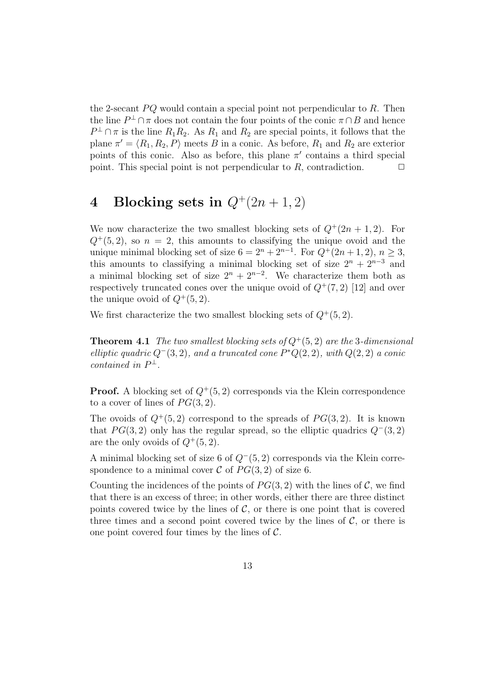the 2-secant  $PQ$  would contain a special point not perpendicular to R. Then the line  $P^{\perp} \cap \pi$  does not contain the four points of the conic  $\pi \cap B$  and hence  $P^{\perp} \cap \pi$  is the line  $R_1R_2$ . As  $R_1$  and  $R_2$  are special points, it follows that the plane  $\pi' = \langle R_1, R_2, P \rangle$  meets B in a conic. As before,  $R_1$  and  $R_2$  are exterior points of this conic. Also as before, this plane  $\pi'$  contains a third special point. This special point is not perpendicular to  $R$ , contradiction.  $\Box$ 

# 4 Blocking sets in  $Q^+(2n+1,2)$

We now characterize the two smallest blocking sets of  $Q^+(2n+1,2)$ . For  $Q^+(5, 2)$ , so  $n = 2$ , this amounts to classifying the unique ovoid and the unique minimal blocking set of size  $6 = 2<sup>n</sup> + 2<sup>n-1</sup>$ . For  $Q<sup>+</sup>(2n + 1, 2)$ ,  $n \ge 3$ , this amounts to classifying a minimal blocking set of size  $2^{n} + 2^{n-3}$  and a minimal blocking set of size  $2^{n} + 2^{n-2}$ . We characterize them both as respectively truncated cones over the unique ovoid of  $Q^+(7,2)$  [12] and over the unique ovoid of  $Q^+(5, 2)$ .

We first characterize the two smallest blocking sets of  $Q^+(5, 2)$ .

**Theorem 4.1** The two smallest blocking sets of  $Q^+(5, 2)$  are the 3-dimensional elliptic quadric  $Q^-(3, 2)$ , and a truncated cone  $P^*Q(2, 2)$ , with  $Q(2, 2)$  a conic contained in  $P^{\perp}$ .

**Proof.** A blocking set of  $Q^+(5, 2)$  corresponds via the Klein correspondence to a cover of lines of  $PG(3, 2)$ .

The ovoids of  $Q^+(5, 2)$  correspond to the spreads of  $PG(3, 2)$ . It is known that  $PG(3, 2)$  only has the regular spread, so the elliptic quadrics  $Q^-(3, 2)$ are the only ovoids of  $Q^+(5, 2)$ .

A minimal blocking set of size 6 of  $Q^-(5, 2)$  corresponds via the Klein correspondence to a minimal cover C of  $PG(3, 2)$  of size 6.

Counting the incidences of the points of  $PG(3, 2)$  with the lines of C, we find that there is an excess of three; in other words, either there are three distinct points covered twice by the lines of  $C$ , or there is one point that is covered three times and a second point covered twice by the lines of  $C$ , or there is one point covered four times by the lines of  $\mathcal{C}$ .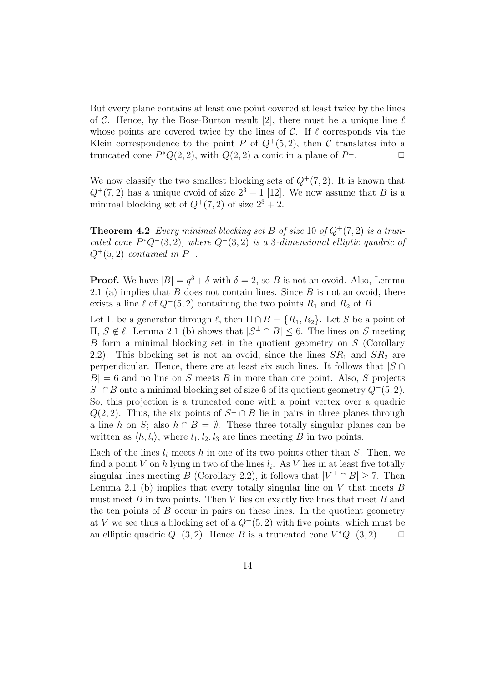But every plane contains at least one point covered at least twice by the lines of C. Hence, by the Bose-Burton result [2], there must be a unique line  $\ell$ whose points are covered twice by the lines of  $\mathcal{C}$ . If  $\ell$  corresponds via the Klein correspondence to the point P of  $Q^+(5, 2)$ , then C translates into a truncated cone  $P^*Q(2,2)$ , with  $Q(2,2)$  a conic in a plane of  $P^{\perp}$ .

We now classify the two smallest blocking sets of  $Q^+(7, 2)$ . It is known that  $Q^+(7, 2)$  has a unique ovoid of size  $2^3 + 1$  [12]. We now assume that B is a minimal blocking set of  $Q^+(7,2)$  of size  $2^3+2$ .

**Theorem 4.2** Every minimal blocking set B of size 10 of  $Q^+(7, 2)$  is a truncated cone  $P^*Q^-(3,2)$ , where  $Q^-(3,2)$  is a 3-dimensional elliptic quadric of  $Q^+(5,2)$  contained in  $P^{\perp}$ .

**Proof.** We have  $|B| = q^3 + \delta$  with  $\delta = 2$ , so B is not an ovoid. Also, Lemma 2.1 (a) implies that  $B$  does not contain lines. Since  $B$  is not an ovoid, there exists a line  $\ell$  of  $Q^+(5, 2)$  containing the two points  $R_1$  and  $R_2$  of B.

Let  $\Pi$  be a generator through  $\ell$ , then  $\Pi \cap B = \{R_1, R_2\}$ . Let S be a point of  $\Pi, S \notin \ell$ . Lemma 2.1 (b) shows that  $|S^{\perp} \cap B|$  ≤ 6. The lines on S meeting B form a minimal blocking set in the quotient geometry on S (Corollary 2.2). This blocking set is not an ovoid, since the lines  $SR_1$  and  $SR_2$  are perpendicular. Hence, there are at least six such lines. It follows that  $|S \cap$  $|B| = 6$  and no line on S meets B in more than one point. Also, S projects  $S^{\perp} \cap B$  onto a minimal blocking set of size 6 of its quotient geometry  $Q^+(5, 2)$ . So, this projection is a truncated cone with a point vertex over a quadric  $Q(2, 2)$ . Thus, the six points of  $S^{\perp} \cap B$  lie in pairs in three planes through a line h on S; also  $h \cap B = \emptyset$ . These three totally singular planes can be written as  $\langle h, l_i \rangle$ , where  $l_1, l_2, l_3$  are lines meeting B in two points.

Each of the lines  $l_i$  meets h in one of its two points other than S. Then, we find a point V on h lying in two of the lines  $l_i$ . As V lies in at least five totally singular lines meeting B (Corollary 2.2), it follows that  $|V^{\perp} \cap B| \geq 7$ . Then Lemma 2.1 (b) implies that every totally singular line on  $V$  that meets  $B$ must meet  $B$  in two points. Then  $V$  lies on exactly five lines that meet  $B$  and the ten points of  $B$  occur in pairs on these lines. In the quotient geometry at V we see thus a blocking set of a  $Q^+(5, 2)$  with five points, which must be an elliptic quadric  $Q^-(3, 2)$ . Hence B is a truncated cone  $V^*Q^-(3, 2)$ .  $\Box$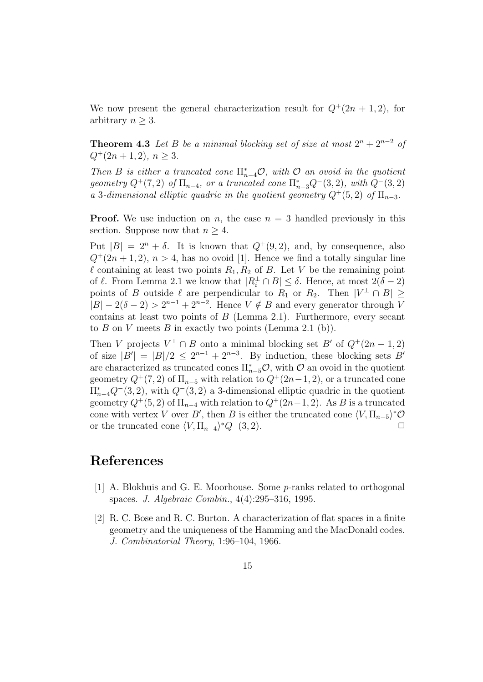We now present the general characterization result for  $Q^+(2n+1,2)$ , for arbitrary  $n \geq 3$ .

**Theorem 4.3** Let B be a minimal blocking set of size at most  $2^n + 2^{n-2}$  of  $Q^+(2n+1,2), n > 3.$ 

Then B is either a truncated cone  $\Pi_{n-4}^* \mathcal{O}$ , with  $\mathcal O$  an ovoid in the quotient geometry  $Q^+(7,2)$  of  $\Pi_{n-4}$ , or a truncated cone  $\Pi_{n-3}^*Q^-(3,2)$ , with  $Q^-(3,2)$ a 3-dimensional elliptic quadric in the quotient geometry  $Q^+(5, 2)$  of  $\Pi_{n-3}$ .

**Proof.** We use induction on n, the case  $n = 3$  handled previously in this section. Suppose now that  $n \geq 4$ .

Put  $|B| = 2^n + \delta$ . It is known that  $Q^+(9, 2)$ , and, by consequence, also  $Q^+(2n+1,2)$ ,  $n>4$ , has no ovoid [1]. Hence we find a totally singular line  $\ell$  containing at least two points  $R_1, R_2$  of B. Let V be the remaining point of  $\ell$ . From Lemma 2.1 we know that  $|R_i^{\perp} \cap B| \leq \delta$ . Hence, at most  $2(\delta - 2)$ points of B outside  $\ell$  are perpendicular to  $R_1$  or  $R_2$ . Then  $|V^{\perp} \cap B| \geq$  $|B| - 2(\delta - 2) > 2^{n-1} + 2^{n-2}$ . Hence  $V \notin B$  and every generator through V contains at least two points of  $B$  (Lemma 2.1). Furthermore, every secant to B on V meets B in exactly two points (Lemma 2.1 (b)).

Then V projects  $V^{\perp} \cap B$  onto a minimal blocking set  $B'$  of  $Q^+(2n-1,2)$ of size  $|B'| = |B|/2 \le 2^{n-1} + 2^{n-3}$ . By induction, these blocking sets B' are characterized as truncated cones  $\Pi_{n-5}^*$ , with  $\mathcal O$  an ovoid in the quotient geometry  $Q^+(7,2)$  of  $\Pi_{n-5}$  with relation to  $Q^+(2n-1,2)$ , or a truncated cone  $\Pi_{n-4}^*Q^-(3,2)$ , with  $Q^-(3,2)$  a 3-dimensional elliptic quadric in the quotient geometry  $Q^+(5, 2)$  of  $\Pi_{n-4}$  with relation to  $Q^+(2n-1, 2)$ . As B is a truncated cone with vertex V over B', then B is either the truncated cone  $\langle V, \Pi_{n-5} \rangle^* \mathcal{O}$ or the truncated cone  $\langle V, \Pi_{n-4} \rangle^* Q^-(3, 2)$ .

### References

- [1] A. Blokhuis and G. E. Moorhouse. Some p-ranks related to orthogonal spaces. J. Algebraic Combin., 4(4):295–316, 1995.
- [2] R. C. Bose and R. C. Burton. A characterization of flat spaces in a finite geometry and the uniqueness of the Hamming and the MacDonald codes. J. Combinatorial Theory, 1:96–104, 1966.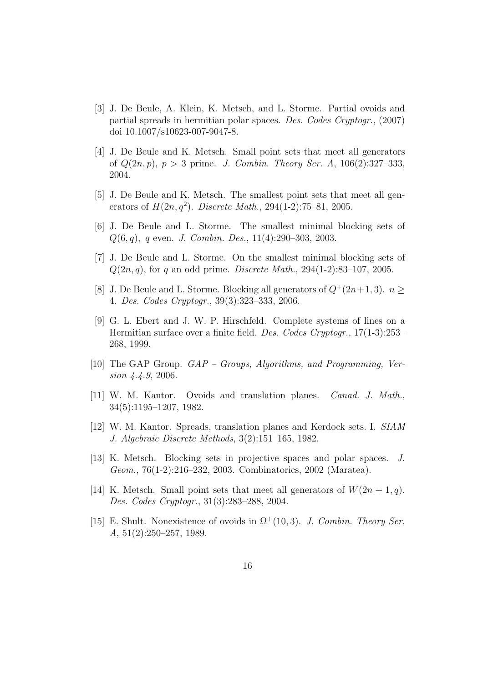- [3] J. De Beule, A. Klein, K. Metsch, and L. Storme. Partial ovoids and partial spreads in hermitian polar spaces. Des. Codes Cryptogr., (2007) doi 10.1007/s10623-007-9047-8.
- [4] J. De Beule and K. Metsch. Small point sets that meet all generators of  $Q(2n, p)$ ,  $p > 3$  prime. J. Combin. Theory Ser. A, 106(2):327-333, 2004.
- [5] J. De Beule and K. Metsch. The smallest point sets that meet all generators of  $H(2n, q^2)$ . Discrete Math., 294(1-2):75-81, 2005.
- [6] J. De Beule and L. Storme. The smallest minimal blocking sets of  $Q(6, q)$ , q even. *J. Combin. Des.*, 11(4):290–303, 2003.
- [7] J. De Beule and L. Storme. On the smallest minimal blocking sets of  $Q(2n, q)$ , for q an odd prime. *Discrete Math.*, 294(1-2):83–107, 2005.
- [8] J. De Beule and L. Storme. Blocking all generators of  $Q^+(2n+1, 3)$ ,  $n >$ 4. Des. Codes Cryptogr., 39(3):323–333, 2006.
- [9] G. L. Ebert and J. W. P. Hirschfeld. Complete systems of lines on a Hermitian surface over a finite field. Des. Codes Cryptogr., 17(1-3):253– 268, 1999.
- [10] The GAP Group. GAP Groups, Algorithms, and Programming, Version 4.4.9, 2006.
- [11] W. M. Kantor. Ovoids and translation planes. Canad. J. Math., 34(5):1195–1207, 1982.
- [12] W. M. Kantor. Spreads, translation planes and Kerdock sets. I. SIAM J. Algebraic Discrete Methods, 3(2):151–165, 1982.
- [13] K. Metsch. Blocking sets in projective spaces and polar spaces. J. Geom., 76(1-2):216–232, 2003. Combinatorics, 2002 (Maratea).
- [14] K. Metsch. Small point sets that meet all generators of  $W(2n + 1, q)$ . Des. Codes Cryptogr., 31(3):283–288, 2004.
- [15] E. Shult. Nonexistence of ovoids in  $\Omega^+(10,3)$ . J. Combin. Theory Ser. A, 51(2):250–257, 1989.